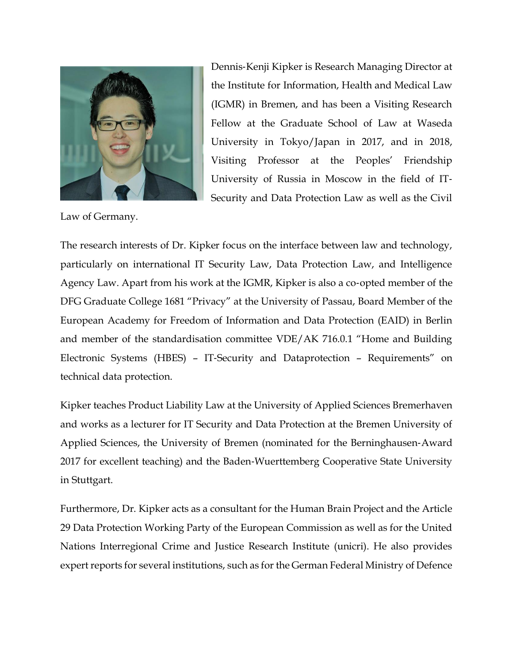

Dennis‐Kenji Kipker is Research Managing Director at the Institute for Information, Health and Medical Law (IGMR) in Bremen, and has been a Visiting Research Fellow at the Graduate School of Law at Waseda University in Tokyo/Japan in 2017, and in 2018, Visiting Professor at the Peoples' Friendship University of Russia in Moscow in the field of IT‐ Security and Data Protection Law as well as the Civil

Law of Germany.

The research interests of Dr. Kipker focus on the interface between law and technology, particularly on international IT Security Law, Data Protection Law, and Intelligence Agency Law. Apart from his work at the IGMR, Kipker is also a co‐opted member of the DFG Graduate College 1681 "Privacy" at the University of Passau, Board Member of the European Academy for Freedom of Information and Data Protection (EAID) in Berlin and member of the standardisation committee VDE/AK 716.0.1 "Home and Building Electronic Systems (HBES) – IT‐Security and Dataprotection – Requirements" on technical data protection.

Kipker teaches Product Liability Law at the University of Applied Sciences Bremerhaven and works as a lecturer for IT Security and Data Protection at the Bremen University of Applied Sciences, the University of Bremen (nominated for the Berninghausen‐Award 2017 for excellent teaching) and the Baden‐Wuerttemberg Cooperative State University in Stuttgart.

Furthermore, Dr. Kipker acts as a consultant for the Human Brain Project and the Article 29 Data Protection Working Party of the European Commission as well as for the United Nations Interregional Crime and Justice Research Institute (unicri). He also provides expert reports for several institutions, such as for the German Federal Ministry of Defence